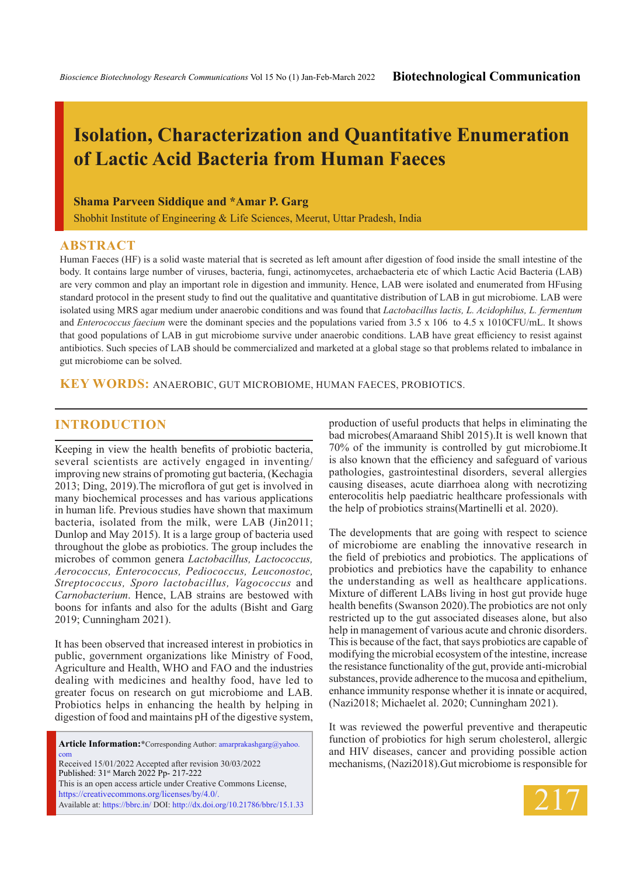# **Isolation, Characterization and Quantitative Enumeration of Lactic Acid Bacteria from Human Faeces**

### **Shama Parveen Siddique and \*Amar P. Garg**

Shobhit Institute of Engineering & Life Sciences, Meerut, Uttar Pradesh, India

### **ABSTRACT**

Human Faeces (HF) is a solid waste material that is secreted as left amount after digestion of food inside the small intestine of the body. It contains large number of viruses, bacteria, fungi, actinomycetes, archaebacteria etc of which Lactic Acid Bacteria (LAB) are very common and play an important role in digestion and immunity. Hence, LAB were isolated and enumerated from HFusing standard protocol in the present study to find out the qualitative and quantitative distribution of LAB in gut microbiome. LAB were isolated using MRS agar medium under anaerobic conditions and was found that *Lactobacillus lactis, L. Acidophilus, L. fermentum*  and *Enterococcus faecium* were the dominant species and the populations varied from 3.5 x 106 to 4.5 x 1010CFU/mL. It shows that good populations of LAB in gut microbiome survive under anaerobic conditions. LAB have great efficiency to resist against antibiotics. Such species of LAB should be commercialized and marketed at a global stage so that problems related to imbalance in gut microbiome can be solved.

**KEY WORDS:** Anaerobic, Gut Microbiome, Human faeces, Probiotics.

### **INTRODUCTION**

Keeping in view the health benefits of probiotic bacteria, several scientists are actively engaged in inventing/ improving new strains of promoting gut bacteria, (Kechagia 2013; Ding, 2019).The microflora of gut get is involved in many biochemical processes and has various applications in human life. Previous studies have shown that maximum bacteria, isolated from the milk, were LAB (Jin2011; Dunlop and May 2015). It is a large group of bacteria used throughout the globe as probiotics. The group includes the microbes of common genera *Lactobacillus, Lactococcus, Aerococcus, Enterococcus, Pediococcus, Leuconostoc, Streptococcus, Sporo lactobacillus, Vagococcus* and *Carnobacterium*. Hence, LAB strains are bestowed with boons for infants and also for the adults (Bisht and Garg 2019; Cunningham 2021).

It has been observed that increased interest in probiotics in public, government organizations like Ministry of Food, Agriculture and Health, WHO and FAO and the industries dealing with medicines and healthy food, have led to greater focus on research on gut microbiome and LAB. Probiotics helps in enhancing the health by helping in digestion of food and maintains pH of the digestive system,

**Article Information:\***Corresponding Author: amarprakashgarg@yahoo. com Received 15/01/2022 Accepted after revision 30/03/2022 Published: 31st March 2022 Pp- 217-222 This is an open access article under Creative Commons License, https://creativecommons.org/licenses/by/4.0/. Available at: https://bbrc.in/ DOI: http://dx.doi.org/10.21786/bbrc/15.1.33 production of useful products that helps in eliminating the bad microbes(Amaraand Shibl 2015).It is well known that 70% of the immunity is controlled by gut microbiome.It is also known that the efficiency and safeguard of various pathologies, gastrointestinal disorders, several allergies causing diseases, acute diarrhoea along with necrotizing enterocolitis help paediatric healthcare professionals with the help of probiotics strains(Martinelli et al. 2020).

The developments that are going with respect to science of microbiome are enabling the innovative research in the field of prebiotics and probiotics. The applications of probiotics and prebiotics have the capability to enhance the understanding as well as healthcare applications. Mixture of different LABs living in host gut provide huge health benefits (Swanson 2020).The probiotics are not only restricted up to the gut associated diseases alone, but also help in management of various acute and chronic disorders. This is because of the fact, that says probiotics are capable of modifying the microbial ecosystem of the intestine, increase the resistance functionality of the gut, provide anti-microbial substances, provide adherence to the mucosa and epithelium, enhance immunity response whether it is innate or acquired, (Nazi2018; Michaelet al. 2020; Cunningham 2021).

It was reviewed the powerful preventive and therapeutic function of probiotics for high serum cholesterol, allergic and HIV diseases, cancer and providing possible action mechanisms, (Nazi2018).Gut microbiome is responsible for

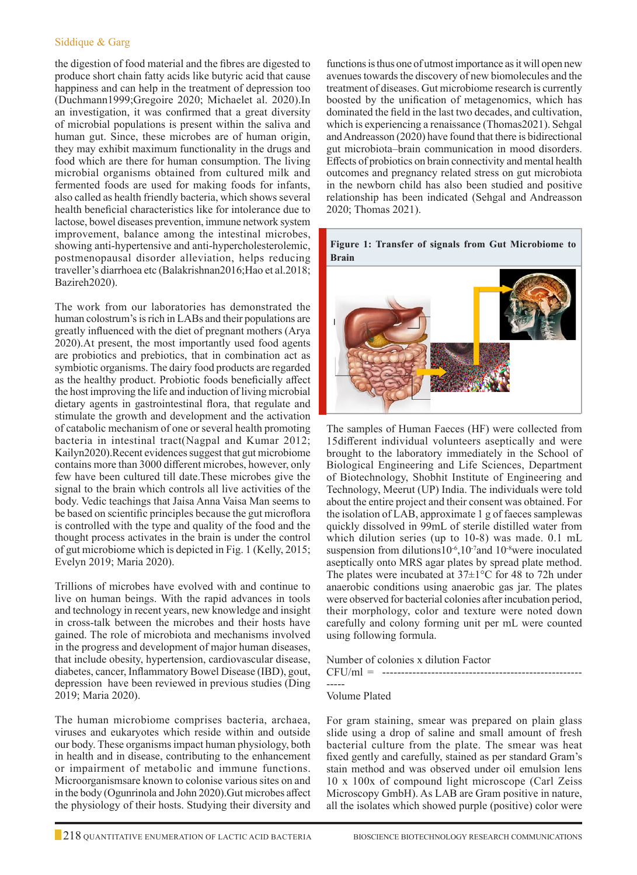### Siddique & Garg

the digestion of food material and the fibres are digested to produce short chain fatty acids like butyric acid that cause happiness and can help in the treatment of depression too (Duchmann1999;Gregoire 2020; Michaelet al. 2020).In an investigation, it was confirmed that a great diversity of microbial populations is present within the saliva and human gut. Since, these microbes are of human origin, they may exhibit maximum functionality in the drugs and food which are there for human consumption. The living microbial organisms obtained from cultured milk and fermented foods are used for making foods for infants, also called as health friendly bacteria, which shows several health beneficial characteristics like for intolerance due to lactose, bowel diseases prevention, immune network system improvement, balance among the intestinal microbes, showing anti-hypertensive and anti-hypercholesterolemic, postmenopausal disorder alleviation, helps reducing traveller's diarrhoea etc (Balakrishnan2016;Hao et al.2018; Bazireh2020).

The work from our laboratories has demonstrated the human colostrum's is rich in LABs and their populations are greatly influenced with the diet of pregnant mothers (Arya 2020).At present, the most importantly used food agents are probiotics and prebiotics, that in combination act as symbiotic organisms. The dairy food products are regarded as the healthy product. Probiotic foods beneficially affect the host improving the life and induction of living microbial dietary agents in gastrointestinal flora, that regulate and stimulate the growth and development and the activation of catabolic mechanism of one or several health promoting bacteria in intestinal tract(Nagpal and Kumar 2012; Kailyn2020).Recent evidences suggest that gut microbiome contains more than 3000 different microbes, however, only few have been cultured till date.These microbes give the signal to the brain which controls all live activities of the body. Vedic teachings that Jaisa Anna Vaisa Man seems to be based on scientific principles because the gut microflora is controlled with the type and quality of the food and the thought process activates in the brain is under the control of gut microbiome which is depicted in Fig. 1 (Kelly, 2015; Evelyn 2019; Maria 2020).

Trillions of microbes have evolved with and continue to live on human beings. With the rapid advances in tools and technology in recent years, new knowledge and insight in cross-talk between the microbes and their hosts have gained. The role of microbiota and mechanisms involved in the progress and development of major human diseases, that include obesity, hypertension, cardiovascular disease, diabetes, cancer, Inflammatory Bowel Disease (IBD), gout, depression have been reviewed in previous studies (Ding 2019; Maria 2020).

The human microbiome comprises bacteria, archaea, viruses and eukaryotes which reside within and outside our body. These organisms impact human physiology, both in health and in disease, contributing to the enhancement or impairment of metabolic and immune functions. Microorganismsare known to colonise various sites on and in the body (Ogunrinola and John 2020).Gut microbes affect the physiology of their hosts. Studying their diversity and

functions is thus one of utmost importance as it will open new avenues towards the discovery of new biomolecules and the treatment of diseases. Gut microbiome research is currently boosted by the unification of metagenomics, which has dominated the field in the last two decades, and cultivation, which is experiencing a renaissance (Thomas2021). Sehgal and Andreasson (2020) have found that there is bidirectional gut microbiota–brain communication in mood disorders. Effects of probiotics on brain connectivity and mental health outcomes and pregnancy related stress on gut microbiota in the newborn child has also been studied and positive relationship has been indicated (Sehgal and Andreasson 2020; Thomas 2021).



The samples of Human Faeces (HF) were collected from 15different individual volunteers aseptically and were brought to the laboratory immediately in the School of Biological Engineering and Life Sciences, Department of Biotechnology, Shobhit Institute of Engineering and Technology, Meerut (UP) India. The individuals were told about the entire project and their consent was obtained. For the isolation of LAB, approximate 1 g of faeces samplewas quickly dissolved in 99mL of sterile distilled water from which dilution series (up to 10-8) was made. 0.1 mL suspension from dilutions10<sup>-6</sup>,10<sup>-7</sup>and 10<sup>-8</sup>were inoculated aseptically onto MRS agar plates by spread plate method. The plates were incubated at  $37\pm1\degree$ C for 48 to 72h under anaerobic conditions using anaerobic gas jar. The plates were observed for bacterial colonies after incubation period, their morphology, color and texture were noted down carefully and colony forming unit per mL were counted using following formula.

Number of colonies x dilution Factor

#### CFU/ml = ----------------------------------------------------- -----

### Volume Plated

For gram staining, smear was prepared on plain glass slide using a drop of saline and small amount of fresh bacterial culture from the plate. The smear was heat fixed gently and carefully, stained as per standard Gram's stain method and was observed under oil emulsion lens 10 x 100x of compound light microscope (Carl Zeiss Microscopy GmbH). As LAB are Gram positive in nature, all the isolates which showed purple (positive) color were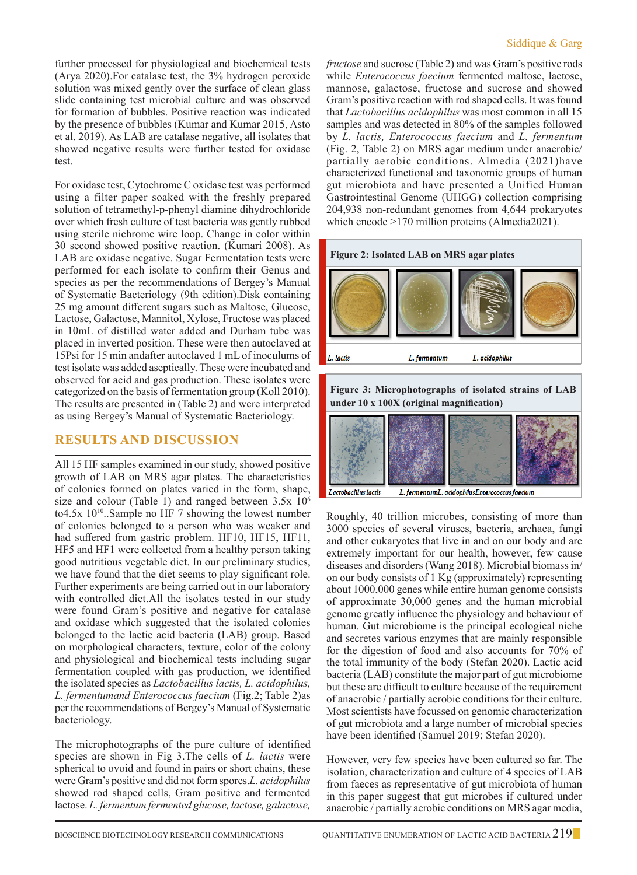further processed for physiological and biochemical tests (Arya 2020).For catalase test, the 3% hydrogen peroxide solution was mixed gently over the surface of clean glass slide containing test microbial culture and was observed for formation of bubbles. Positive reaction was indicated by the presence of bubbles (Kumar and Kumar 2015, Asto et al. 2019). As LAB are catalase negative, all isolates that showed negative results were further tested for oxidase test.

For oxidase test, Cytochrome C oxidase test was performed using a filter paper soaked with the freshly prepared solution of tetramethyl-p-phenyl diamine dihydrochloride over which fresh culture of test bacteria was gently rubbed using sterile nichrome wire loop. Change in color within 30 second showed positive reaction. (Kumari 2008). As LAB are oxidase negative. Sugar Fermentation tests were performed for each isolate to confirm their Genus and species as per the recommendations of Bergey's Manual of Systematic Bacteriology (9th edition).Disk containing 25 mg amount different sugars such as Maltose, Glucose, Lactose, Galactose, Mannitol, Xylose, Fructose was placed in 10mL of distilled water added and Durham tube was placed in inverted position. These were then autoclaved at 15Psi for 15 min andafter autoclaved 1 mL of inoculums of test isolate was added aseptically. These were incubated and observed for acid and gas production. These isolates were categorized on the basis of fermentation group (Koll 2010). The results are presented in (Table 2) and were interpreted as using Bergey's Manual of Systematic Bacteriology.

### **Results and Discussion**

All 15 HF samples examined in our study, showed positive growth of LAB on MRS agar plates. The characteristics of colonies formed on plates varied in the form, shape, size and colour (Table 1) and ranged between 3.5x 10<sup>6</sup> to4.5x  $10^{10}$ ..Sample no HF 7 showing the lowest number of colonies belonged to a person who was weaker and had suffered from gastric problem. HF10, HF15, HF11, HF5 and HF1 were collected from a healthy person taking good nutritious vegetable diet. In our preliminary studies, we have found that the diet seems to play significant role. Further experiments are being carried out in our laboratory with controlled diet.All the isolates tested in our study were found Gram's positive and negative for catalase and oxidase which suggested that the isolated colonies belonged to the lactic acid bacteria (LAB) group. Based on morphological characters, texture, color of the colony and physiological and biochemical tests including sugar fermentation coupled with gas production, we identified the isolated species as *Lactobacillus lactis, L. acidophilus, L. fermentumand Enterococcus faecium* (Fig.2; Table 2)as per the recommendations of Bergey's Manual of Systematic bacteriology.

The microphotographs of the pure culture of identified species are shown in Fig 3.The cells of *L. lactis* were spherical to ovoid and found in pairs or short chains, these were Gram's positive and did not form spores.*L. acidophilus*  showed rod shaped cells, Gram positive and fermented lactose. *L. fermentum fermented glucose, lactose, galactose,* 

*fructose* and sucrose (Table 2) and was Gram's positive rods while *Enterococcus faecium* fermented maltose, lactose, mannose, galactose, fructose and sucrose and showed Gram's positive reaction with rod shaped cells. It was found that *Lactobacillus acidophilus* was most common in all 15 samples and was detected in 80% of the samples followed by *L. lactis, Enterococcus faecium* and *L. fermentum* (Fig. 2, Table 2) on MRS agar medium under anaerobic/ partially aerobic conditions. Almedia (2021)have characterized functional and taxonomic groups of human gut microbiota and have presented a Unified Human Gastrointestinal Genome (UHGG) collection comprising 204,938 non-redundant genomes from 4,644 prokaryotes which encode >170 million proteins (Almedia2021).







Roughly, 40 trillion microbes, consisting of more than 3000 species of several viruses, bacteria, archaea, fungi and other eukaryotes that live in and on our body and are extremely important for our health, however, few cause diseases and disorders (Wang 2018). Microbial biomass in/ on our body consists of 1 Kg (approximately) representing about 1000,000 genes while entire human genome consists of approximate 30,000 genes and the human microbial genome greatly influence the physiology and behaviour of human. Gut microbiome is the principal ecological niche and secretes various enzymes that are mainly responsible for the digestion of food and also accounts for 70% of the total immunity of the body (Stefan 2020). Lactic acid bacteria (LAB) constitute the major part of gut microbiome but these are difficult to culture because of the requirement of anaerobic / partially aerobic conditions for their culture. Most scientists have focussed on genomic characterization of gut microbiota and a large number of microbial species have been identified (Samuel 2019; Stefan 2020).

However, very few species have been cultured so far. The isolation, characterization and culture of 4 species of LAB from faeces as representative of gut microbiota of human in this paper suggest that gut microbes if cultured under anaerobic / partially aerobic conditions on MRS agar media,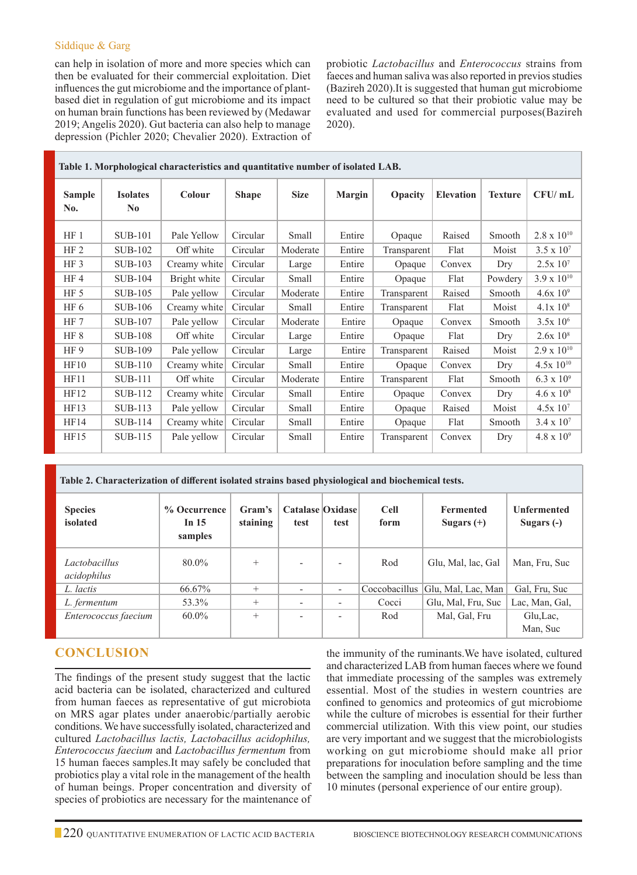### Siddique & Garg

can help in isolation of more and more species which can then be evaluated for their commercial exploitation. Diet influences the gut microbiome and the importance of plantbased diet in regulation of gut microbiome and its impact on human brain functions has been reviewed by (Medawar 2019; Angelis 2020). Gut bacteria can also help to manage depression (Pichler 2020; Chevalier 2020). Extraction of probiotic *Lactobacillus* and *Enterococcus* strains from faeces and human saliva was also reported in previos studies (Bazireh 2020).It is suggested that human gut microbiome need to be cultured so that their probiotic value may be evaluated and used for commercial purposes(Bazireh 2020).

| Table 1. Morphological characteristics and quantitative number of isolated LAB. |                             |              |              |             |               |             |                  |                |                      |  |  |
|---------------------------------------------------------------------------------|-----------------------------|--------------|--------------|-------------|---------------|-------------|------------------|----------------|----------------------|--|--|
| <b>Sample</b><br>No.                                                            | <b>Isolates</b><br>$\bf No$ | Colour       | <b>Shape</b> | <b>Size</b> | <b>Margin</b> | Opacity     | <b>Elevation</b> | <b>Texture</b> | CFU/mL               |  |  |
| $HF_1$                                                                          | <b>SUB-101</b>              | Pale Yellow  | Circular     | Small       | Entire        | Opaque      | Raised           | Smooth         | $2.8 \times 10^{10}$ |  |  |
| HF <sub>2</sub>                                                                 | <b>SUB-102</b>              | Off white    | Circular     | Moderate    | Entire        | Transparent | Flat             | Moist          | $3.5 \times 10^{7}$  |  |  |
| HF <sub>3</sub>                                                                 | SUB-103                     | Creamy white | Circular     | Large       | Entire        | Opaque      | Convex           | Dry            | $2.5x 10^{7}$        |  |  |
| HF <sub>4</sub>                                                                 | <b>SUB-104</b>              | Bright white | Circular     | Small       | Entire        | Opaque      |                  | Powdery        | $3.9 \times 10^{10}$ |  |  |
| HF 5                                                                            | <b>SUB-105</b>              | Pale yellow  | Circular     | Moderate    | Entire        | Transparent | Raised           | Smooth         | $4.6x10^{9}$         |  |  |
| HF 6                                                                            | SUB-106                     | Creamy white | Circular     | Small       | Entire        | Transparent | Flat             | Moist          | $4.1x\ 10^8$         |  |  |
| HF 7                                                                            | <b>SUB-107</b>              | Pale yellow  | Circular     | Moderate    | Entire        | Opaque      | Convex           | <b>Smooth</b>  | $3.5x 10^6$          |  |  |
| HF 8                                                                            | <b>SUB-108</b>              | Off white    | Circular     | Large       | Entire        | Opaque      | Flat             | Dry            | 2.6x 10 <sup>8</sup> |  |  |
| HF 9                                                                            | <b>SUB-109</b>              | Pale yellow  | Circular     | Large       | Entire        | Transparent | Raised           | Moist          | $2.9 \times 10^{10}$ |  |  |
| HF10                                                                            | <b>SUB-110</b>              | Creamy white | Circular     | Small       | Entire        | Opaque      | Convex           | Dry            | $4.5x$ $10^{10}$     |  |  |
| HF11                                                                            | <b>SUB-111</b>              | Off white    | Circular     | Moderate    | Entire        | Transparent | Flat             | Smooth         | $6.3 \times 10^{9}$  |  |  |
| HF12                                                                            | <b>SUB-112</b>              | Creamy white | Circular     | Small       | Entire        | Opaque      | Convex           | Dry            | $4.6 \times 10^8$    |  |  |
| HF13                                                                            | <b>SUB-113</b>              | Pale yellow  | Circular     | Small       | Entire        | Opaque      | Raised           | Moist          | 4.5x10 <sup>7</sup>  |  |  |
| HF14                                                                            | <b>SUB-114</b>              | Creamy white | Circular     | Small       | Entire        | Opaque      | Flat             | Smooth         | $3.4 \times 10^{7}$  |  |  |
| HF15                                                                            | <b>SUB-115</b>              | Pale yellow  | Circular     | Small       | Entire        | Transparent | Convex           | Dry            | $4.8 \times 10^{9}$  |  |  |

| Table 2. Characterization of different isolated strains based physiological and biochemical tests. |                                    |                    |                          |                          |                     |                                  |                                    |  |  |  |  |  |
|----------------------------------------------------------------------------------------------------|------------------------------------|--------------------|--------------------------|--------------------------|---------------------|----------------------------------|------------------------------------|--|--|--|--|--|
| <b>Species</b><br>isolated                                                                         | % Occurrence<br>In $15$<br>samples | Gram's<br>staining | Catalase Oxidase<br>test | test                     | <b>Cell</b><br>form | <b>Fermented</b><br>Sugars $(+)$ | <b>Unfermented</b><br>Sugars $(-)$ |  |  |  |  |  |
| Lactobacillus<br>acidophilus                                                                       | 80.0%                              | $^{+}$             |                          | $\overline{\phantom{a}}$ | Rod                 | Glu, Mal, lac, Gal               | Man, Fru, Suc                      |  |  |  |  |  |
| L. lactis                                                                                          | 66.67%                             | $^{+}$             |                          | $\overline{\phantom{a}}$ | Coccobacillus       | Glu, Mal, Lac, Man               | Gal, Fru, Suc                      |  |  |  |  |  |
| L. fermentum                                                                                       | 53.3%                              | $^{+}$             |                          | $\overline{\phantom{0}}$ | Cocci               | Glu, Mal, Fru, Suc               | Lac, Man, Gal,                     |  |  |  |  |  |
| Enterococcus faecium                                                                               | $60.0\%$                           | $^{+}$             | $\overline{\phantom{a}}$ | $\overline{\phantom{a}}$ | Rod                 | Mal, Gal, Fru                    | Glu, Lac,                          |  |  |  |  |  |
|                                                                                                    |                                    |                    |                          |                          |                     |                                  | Man, Suc                           |  |  |  |  |  |

# **Conclusion**

The findings of the present study suggest that the lactic acid bacteria can be isolated, characterized and cultured from human faeces as representative of gut microbiota on MRS agar plates under anaerobic/partially aerobic conditions. We have successfully isolated, characterized and cultured *Lactobacillus lactis, Lactobacillus acidophilus, Enterococcus faecium* and *Lactobacillus fermentum* from 15 human faeces samples.It may safely be concluded that probiotics play a vital role in the management of the health of human beings. Proper concentration and diversity of species of probiotics are necessary for the maintenance of the immunity of the ruminants.We have isolated, cultured and characterized LAB from human faeces where we found that immediate processing of the samples was extremely essential. Most of the studies in western countries are confined to genomics and proteomics of gut microbiome while the culture of microbes is essential for their further commercial utilization. With this view point, our studies are very important and we suggest that the microbiologists working on gut microbiome should make all prior preparations for inoculation before sampling and the time between the sampling and inoculation should be less than 10 minutes (personal experience of our entire group).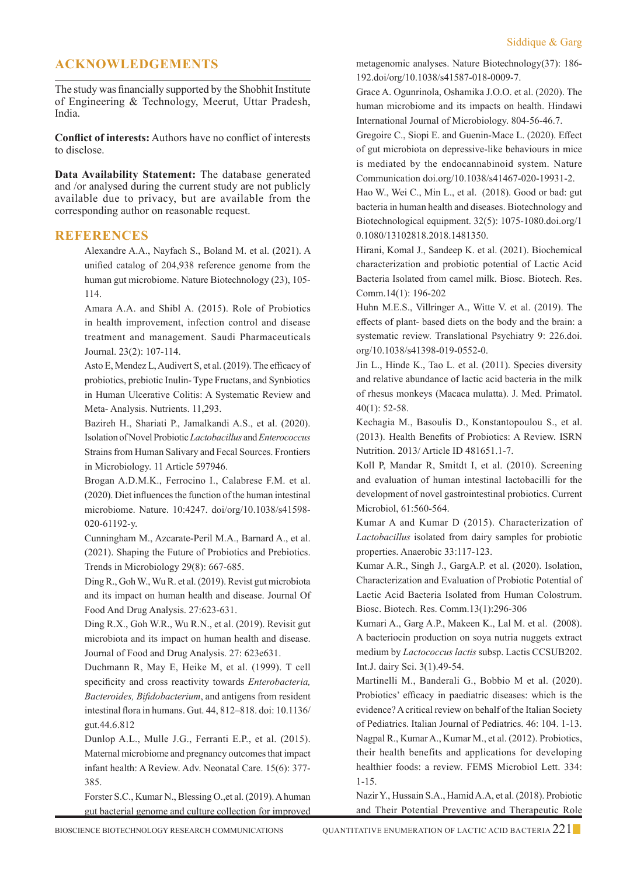# **Acknowledgements**

The study was financially supported by the Shobhit Institute of Engineering & Technology, Meerut, Uttar Pradesh, India.

**Conflict of interests:** Authors have no conflict of interests to disclose.

**Data Availability Statement:** The database generated and /or analysed during the current study are not publicly available due to privacy, but are available from the corresponding author on reasonable request.

### **References**

Alexandre A.A., Nayfach S., Boland M. et al. (2021). A unified catalog of 204,938 reference genome from the human gut microbiome. Nature Biotechnology (23), 105- 114.

Amara A.A. and Shibl A. (2015). Role of Probiotics in health improvement, infection control and disease treatment and management. Saudi Pharmaceuticals Journal. 23(2): 107-114.

Asto E, Mendez L, Audivert S, et al. (2019). The efficacy of probiotics, prebiotic Inulin- Type Fructans, and Synbiotics in Human Ulcerative Colitis: A Systematic Review and Meta- Analysis. Nutrients. 11,293.

Bazireh H., Shariati P., Jamalkandi A.S., et al. (2020). Isolation of Novel Probiotic *Lactobacillus* and *Enterococcus*  Strains from Human Salivary and Fecal Sources. Frontiers in Microbiology. 11 Article 597946.

Brogan A.D.M.K., Ferrocino I., Calabrese F.M. et al. (2020). Diet influences the function of the human intestinal microbiome. Nature. 10:4247. doi/org/10.1038/s41598- 020-61192-y.

Cunningham M., Azcarate-Peril M.A., Barnard A., et al. (2021). Shaping the Future of Probiotics and Prebiotics. Trends in Microbiology 29(8): 667-685.

Ding R., Goh W., Wu R. et al. (2019). Revist gut microbiota and its impact on human health and disease. Journal Of Food And Drug Analysis. 27:623-631.

Ding R.X., Goh W.R., Wu R.N., et al. (2019). Revisit gut microbiota and its impact on human health and disease. Journal of Food and Drug Analysis. 27: 623e631.

Duchmann R, May E, Heike M, et al. (1999). T cell specificity and cross reactivity towards *Enterobacteria, Bacteroides, Bifidobacterium*, and antigens from resident intestinal flora in humans. Gut. 44, 812–818. doi: 10.1136/ gut.44.6.812

Dunlop A.L., Mulle J.G., Ferranti E.P., et al. (2015). Maternal microbiome and pregnancy outcomes that impact infant health: A Review. Adv. Neonatal Care. 15(6): 377- 385.

Forster S.C., Kumar N., Blessing O.,et al. (2019). A human gut bacterial genome and culture collection for improved

metagenomic analyses. Nature Biotechnology(37): 186- 192.doi/org/10.1038/s41587-018-0009-7.

Grace A. Ogunrinola, Oshamika J.O.O. et al. (2020). The human microbiome and its impacts on health. Hindawi International Journal of Microbiology. 804-56-46.7.

Gregoire C., Siopi E. and Guenin-Mace L. (2020). Effect of gut microbiota on depressive-like behaviours in mice is mediated by the endocannabinoid system. Nature Communication doi.org/10.1038/s41467-020-19931-2.

Hao W., Wei C., Min L., et al. (2018). Good or bad: gut bacteria in human health and diseases. Biotechnology and Biotechnological equipment. 32(5): 1075-1080.doi.org/1 0.1080/13102818.2018.1481350.

Hirani, Komal J., Sandeep K. et al. (2021). Biochemical characterization and probiotic potential of Lactic Acid Bacteria Isolated from camel milk. Biosc. Biotech. Res. Comm.14(1): 196-202

Huhn M.E.S., Villringer A., Witte V. et al. (2019). The effects of plant- based diets on the body and the brain: a systematic review. Translational Psychiatry 9: 226.doi. org/10.1038/s41398-019-0552-0.

Jin L., Hinde K., Tao L. et al. (2011). Species diversity and relative abundance of lactic acid bacteria in the milk of rhesus monkeys (Macaca mulatta). J. Med. Primatol. 40(1): 52-58.

Kechagia M., Basoulis D., Konstantopoulou S., et al. (2013). Health Benefits of Probiotics: A Review. ISRN Nutrition. 2013/ Article ID 481651.1-7.

Koll P, Mandar R, Smitdt I, et al. (2010). Screening and evaluation of human intestinal lactobacilli for the development of novel gastrointestinal probiotics. Current Microbiol, 61:560-564.

Kumar A and Kumar D (2015). Characterization of *Lactobacillus* isolated from dairy samples for probiotic properties. Anaerobic 33:117-123.

Kumar A.R., Singh J., GargA.P. et al. (2020). Isolation, Characterization and Evaluation of Probiotic Potential of Lactic Acid Bacteria Isolated from Human Colostrum. Biosc. Biotech. Res. Comm.13(1):296-306

Kumari A., Garg A.P., Makeen K., Lal M. et al. (2008). A bacteriocin production on soya nutria nuggets extract medium by *Lactococcus lactis* subsp. Lactis CCSUB202. Int.J. dairy Sci. 3(1).49-54.

Martinelli M., Banderali G., Bobbio M et al. (2020). Probiotics' efficacy in paediatric diseases: which is the evidence? A critical review on behalf of the Italian Society of Pediatrics. Italian Journal of Pediatrics. 46: 104. 1-13. Nagpal R., Kumar A., Kumar M., et al. (2012). Probiotics, their health benefits and applications for developing healthier foods: a review. FEMS Microbiol Lett. 334: 1-15.

 Nazir Y., Hussain S.A., Hamid A.A, et al. (2018). Probiotic and Their Potential Preventive and Therapeutic Role